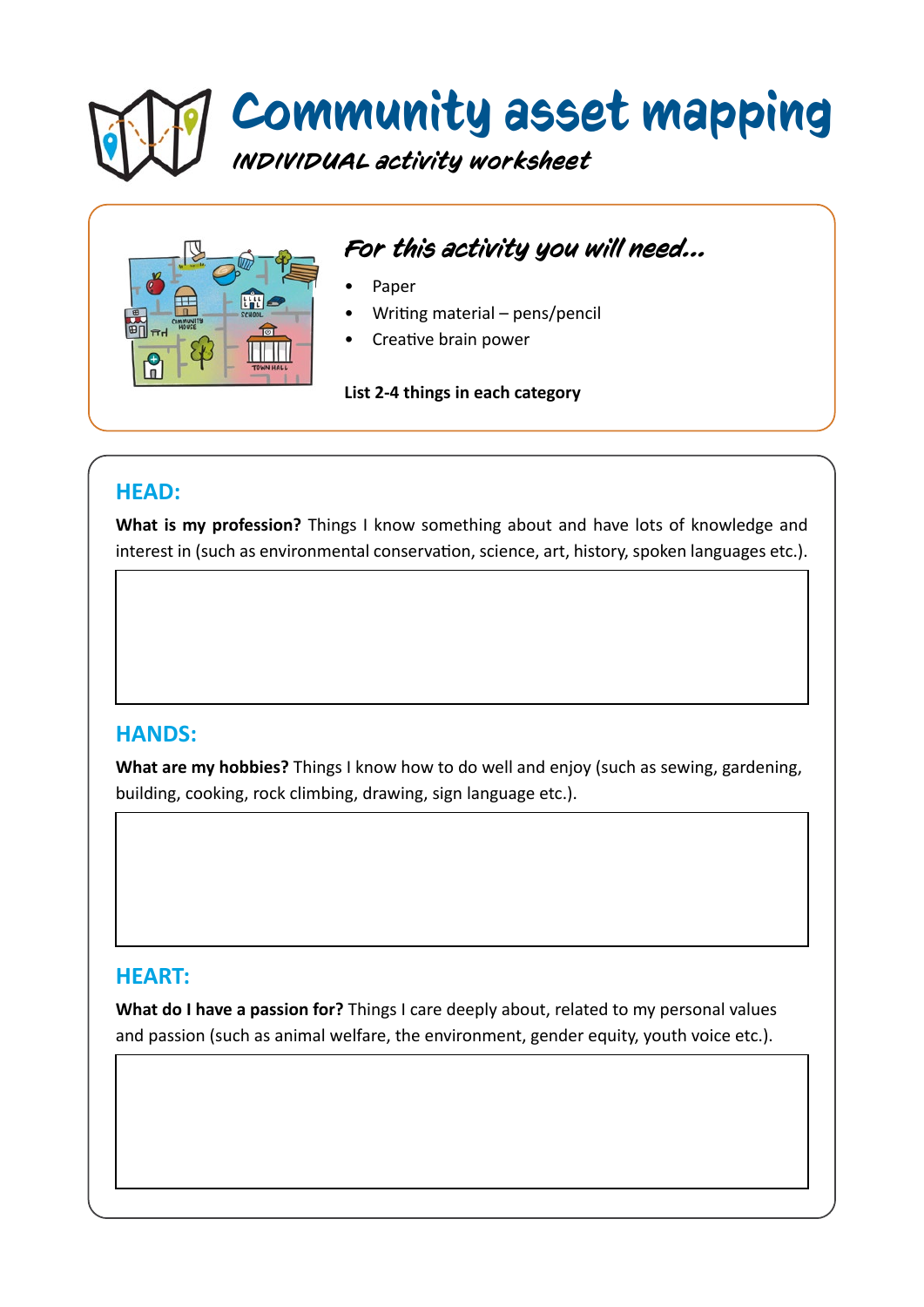# Community asset mapping *INDIVIDUAL activity worksheet*



## *For this activity you will need...*

- Paper
- Writing material pens/pencil
- Creative brain power

**List 2-4 things in each category**

### **HEAD:**

**What is my profession?** Things I know something about and have lots of knowledge and interest in (such as environmental conservation, science, art, history, spoken languages etc.).

#### **HANDS:**

**What are my hobbies?** Things I know how to do well and enjoy (such as sewing, gardening, building, cooking, rock climbing, drawing, sign language etc.).

#### **HEART:**

**What do I have a passion for?** Things I care deeply about, related to my personal values and passion (such as animal welfare, the environment, gender equity, youth voice etc.).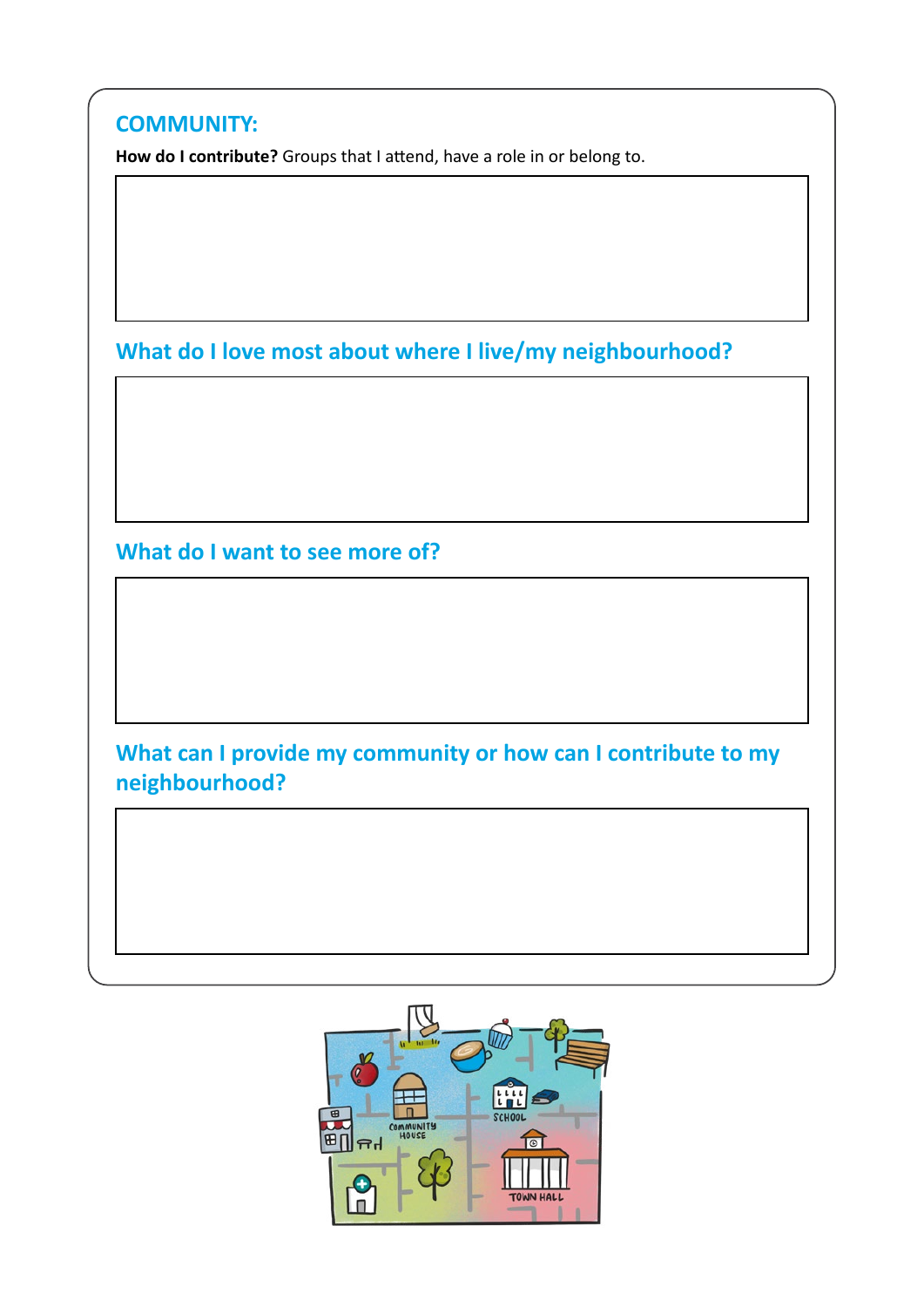| How do I contribute? Groups that I attend, have a role in or belong to.         |
|---------------------------------------------------------------------------------|
|                                                                                 |
|                                                                                 |
|                                                                                 |
| What do I love most about where I live/my neighbourhood?                        |
|                                                                                 |
|                                                                                 |
|                                                                                 |
|                                                                                 |
| What do I want to see more of?                                                  |
|                                                                                 |
|                                                                                 |
|                                                                                 |
|                                                                                 |
| What can I provide my community or how can I contribute to my<br>neighbourhood? |
|                                                                                 |
|                                                                                 |
|                                                                                 |

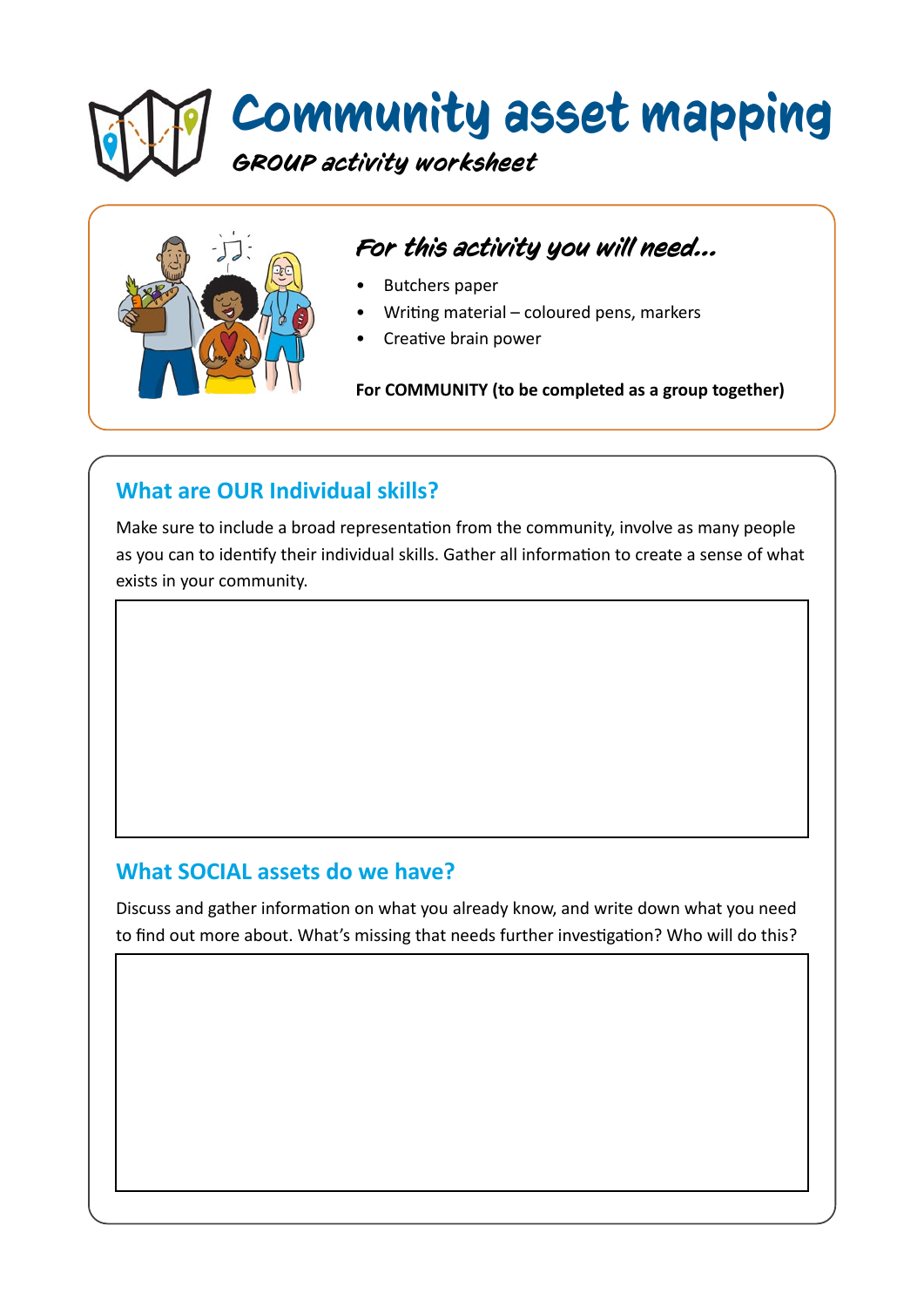# Community asset mapping *GROUP activity worksheet*



# *For this activity you will need...*

- Butchers paper
- Writing material coloured pens, markers
- Creative brain power

**For COMMUNITY (to be completed as a group together)**

## **What are OUR Individual skills?**

Make sure to include a broad representation from the community, involve as many people as you can to identify their individual skills. Gather all information to create a sense of what exists in your community.

### **What SOCIAL assets do we have?**

Discuss and gather information on what you already know, and write down what you need to find out more about. What's missing that needs further investigation? Who will do this?